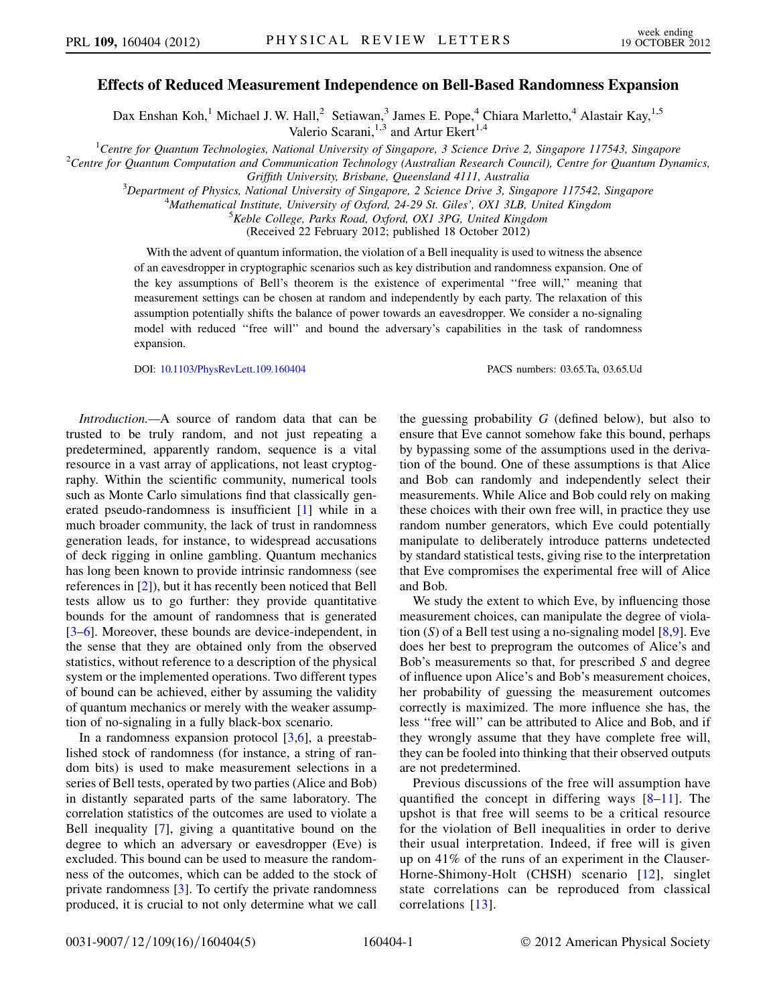## Effects of Reduced Measurement Independence on Bell-Based Randomness Expansion

Dax Enshan Koh,<sup>1</sup> Michael J. W. Hall,<sup>2</sup> Setiawan,<sup>3</sup> James E. Pope,<sup>4</sup> Chiara Marletto,<sup>4</sup> Alastair Kay,<sup>1,5</sup> Valerio Scarani,  $^{1,3}$  and Artur Ekert<sup>1,4</sup>

<sup>1</sup>Centre for Quantum Technologies, National University of Singapore, 3 Science Drive 2, Singapore 117543, Singapore<br><sup>2</sup>Centre for Quantum Computation and Communication Technology (Australian Basearch Council), Centre for

<sup>2</sup>Centre for Quantum Computation and Communication Technology (Australian Research Council), Centre for Quantum Dynamics,

 $3$ Department of Physics, National University of Singapore, 2 Science Drive 3, Singapore 117542, Singapore

<sup>4</sup>Mathematical Institute, University of Oxford, 24-29 St. Giles', OX1 3LB, United Kingdom

 ${}^{5}$ Keble College, Parks Road, Oxford, OX1 3PG, United Kingdom

(Received 22 February 2012; published 18 October 2012)

With the advent of quantum information, the violation of a Bell inequality is used to witness the absence of an eavesdropper in cryptographic scenarios such as key distribution and randomness expansion. One of the key assumptions of Bell's theorem is the existence of experimental ''free will,'' meaning that measurement settings can be chosen at random and independently by each party. The relaxation of this assumption potentially shifts the balance of power towards an eavesdropper. We consider a no-signaling model with reduced ''free will'' and bound the adversary's capabilities in the task of randomness expansion.

DOI: [10.1103/PhysRevLett.109.160404](http://dx.doi.org/10.1103/PhysRevLett.109.160404) PACS numbers: 03.65.Ta, 03.65.Ud

Introduction.—A source of random data that can be trusted to be truly random, and not just repeating a predetermined, apparently random, sequence is a vital resource in a vast array of applications, not least cryptography. Within the scientific community, numerical tools such as Monte Carlo simulations find that classically generated pseudo-randomness is insufficient [[1\]](#page-4-0) while in a much broader community, the lack of trust in randomness generation leads, for instance, to widespread accusations of deck rigging in online gambling. Quantum mechanics has long been known to provide intrinsic randomness (see references in [[2\]](#page-4-1)), but it has recently been noticed that Bell tests allow us to go further: they provide quantitative bounds for the amount of randomness that is generated [\[3–](#page-4-2)[6](#page-4-3)]. Moreover, these bounds are device-independent, in the sense that they are obtained only from the observed statistics, without reference to a description of the physical system or the implemented operations. Two different types of bound can be achieved, either by assuming the validity of quantum mechanics or merely with the weaker assumption of no-signaling in a fully black-box scenario.

In a randomness expansion protocol  $[3,6]$  $[3,6]$  $[3,6]$ , a preestablished stock of randomness (for instance, a string of random bits) is used to make measurement selections in a series of Bell tests, operated by two parties (Alice and Bob) in distantly separated parts of the same laboratory. The correlation statistics of the outcomes are used to violate a Bell inequality [\[7](#page-4-4)], giving a quantitative bound on the degree to which an adversary or eavesdropper (Eve) is excluded. This bound can be used to measure the randomness of the outcomes, which can be added to the stock of private randomness [\[3\]](#page-4-2). To certify the private randomness produced, it is crucial to not only determine what we call the guessing probability  $G$  (defined below), but also to ensure that Eve cannot somehow fake this bound, perhaps by bypassing some of the assumptions used in the derivation of the bound. One of these assumptions is that Alice and Bob can randomly and independently select their measurements. While Alice and Bob could rely on making these choices with their own free will, in practice they use random number generators, which Eve could potentially manipulate to deliberately introduce patterns undetected by standard statistical tests, giving rise to the interpretation that Eve compromises the experimental free will of Alice and Bob.

We study the extent to which Eve, by influencing those measurement choices, can manipulate the degree of violation  $(S)$  of a Bell test using a no-signaling model  $[8,9]$  $[8,9]$  $[8,9]$ . Eve does her best to preprogram the outcomes of Alice's and Bob's measurements so that, for prescribed S and degree of influence upon Alice's and Bob's measurement choices, her probability of guessing the measurement outcomes correctly is maximized. The more influence she has, the less ''free will'' can be attributed to Alice and Bob, and if they wrongly assume that they have complete free will, they can be fooled into thinking that their observed outputs are not predetermined.

Previous discussions of the free will assumption have quantified the concept in differing ways [[8](#page-4-5)–[11\]](#page-4-7). The upshot is that free will seems to be a critical resource for the violation of Bell inequalities in order to derive their usual interpretation. Indeed, if free will is given up on 41% of the runs of an experiment in the Clauser-Horne-Shimony-Holt (CHSH) scenario [[12\]](#page-4-8), singlet state correlations can be reproduced from classical correlations [\[13\]](#page-4-9).

Griffith University, Brisbane, Queensland 4111, Australia <sup>3</sup>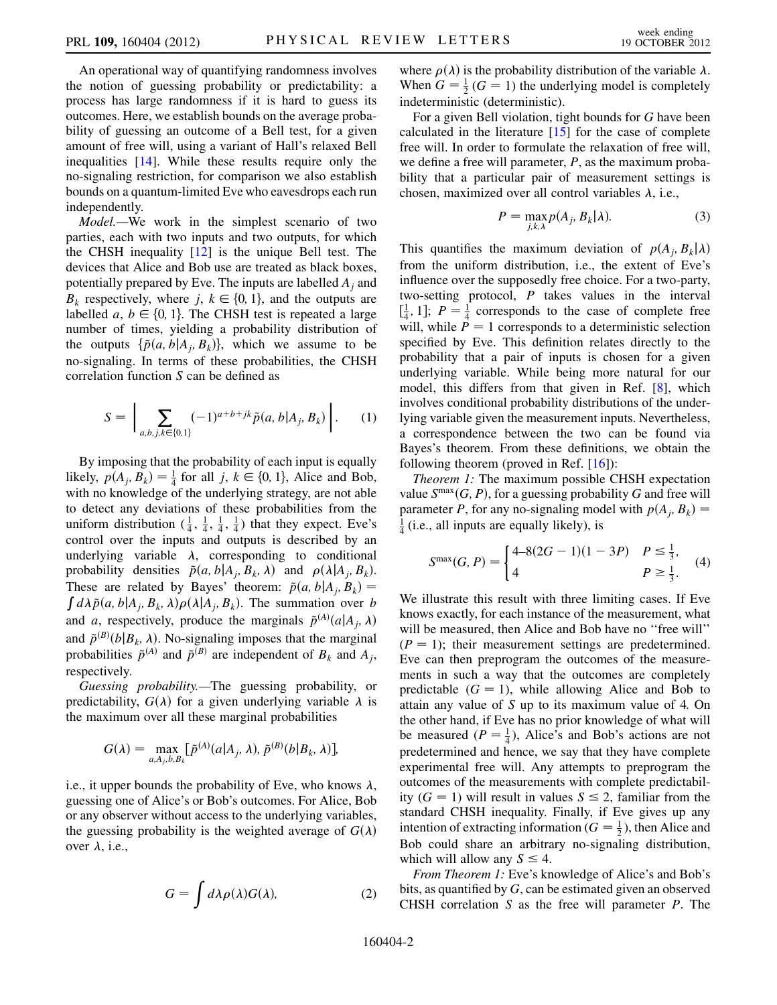An operational way of quantifying randomness involves the notion of guessing probability or predictability: a process has large randomness if it is hard to guess its outcomes. Here, we establish bounds on the average probability of guessing an outcome of a Bell test, for a given amount of free will, using a variant of Hall's relaxed Bell inequalities [[14](#page-4-10)]. While these results require only the no-signaling restriction, for comparison we also establish bounds on a quantum-limited Eve who eavesdrops each run independently.

Model.—We work in the simplest scenario of two parties, each with two inputs and two outputs, for which the CHSH inequality [\[12\]](#page-4-8) is the unique Bell test. The devices that Alice and Bob use are treated as black boxes, potentially prepared by Eve. The inputs are labelled  $A_i$  and  $B_k$  respectively, where j,  $k \in \{0, 1\}$ , and the outputs are labelled a,  $b \in \{0, 1\}$ . The CHSH test is repeated a large number of times, yielding a probability distribution of the outputs  $\{\tilde{p}(a, b|A_i, B_k)\}$ , which we assume to be no-signaling. In terms of these probabilities, the CHSH correlation function S can be defined as

$$
S = \left[ \sum_{a,b,j,k \in \{0,1\}} (-1)^{a+b+jk} \tilde{p}(a,b|A_j, B_k) \right]. \tag{1}
$$

By imposing that the probability of each input is equally likely,  $p(A_j, B_k) = \frac{1}{4}$  for all j,  $k \in \{0, 1\}$ , Alice and Bob, with no knowledge of the underlying strategy, are not able to detect any deviations of these probabilities from the uniform distribution  $(\frac{1}{4}, \frac{1}{4}, \frac{1}{4}, \frac{1}{4})$  that they expect. Eve's control over the inputs and outputs is described by an underlying variable  $\lambda$ , corresponding to conditional probability densities  $\tilde{p}(a, b|A_j, B_k, \lambda)$  and  $\rho(\lambda|A_j, B_k)$ .<br>These are related by Bayes' theorem:  $\tilde{p}(a, b|A, B_i)$ These are related by Bayes' theorem:  $\tilde{p}(a, b|A_i, B_k)$  =  $\int d\lambda \tilde{p}(a, b|A_j, B_k, \lambda) \rho(\lambda | A_j, B_k)$ . The summation over b and a, respectively, produce the marginals  $\tilde{p}^{(A)}(a|A_j, \lambda)$ and  $\tilde{p}^{(B)}(b|B_k, \lambda)$ . No-signaling imposes that the marginal<br>probabilities  $\tilde{p}^{(A)}$  and  $\tilde{p}^{(B)}$  are independent of  $B_n$  and  $A_n$ probabilities  $\tilde{p}^{(A)}$  and  $\tilde{p}^{(B)}$  are independent of  $B_k$  and  $A_j$ , respectively.

Guessing probability.—The guessing probability, or predictability,  $G(\lambda)$  for a given underlying variable  $\lambda$  is the maximum over all these marginal probabilities

$$
G(\lambda) = \max_{a, A_j, b, B_k} [\tilde{p}^{(A)}(a|A_j, \lambda), \tilde{p}^{(B)}(b|B_k, \lambda)],
$$

i.e., it upper bounds the probability of Eve, who knows  $\lambda$ , guessing one of Alice's or Bob's outcomes. For Alice, Bob or any observer without access to the underlying variables, the guessing probability is the weighted average of  $G(\lambda)$ over  $\lambda$ , i.e.,

$$
G = \int d\lambda \rho(\lambda) G(\lambda), \tag{2}
$$

where  $\rho(\lambda)$  is the probability distribution of the variable  $\lambda$ .<br>When  $G = \frac{1}{2}(G = 1)$  the underlying model is completely When  $G = \frac{1}{2} (G = 1)$  the underlying model is completely indeterministic (deterministic) indeterministic (deterministic).

For a given Bell violation, tight bounds for G have been calculated in the literature [[15](#page-4-11)] for the case of complete free will. In order to formulate the relaxation of free will, we define a free will parameter, P, as the maximum probability that a particular pair of measurement settings is chosen, maximized over all control variables  $\lambda$ , i.e.,

$$
P = \max_{j,k,\lambda} p(A_j, B_k | \lambda).
$$
 (3)

This quantifies the maximum deviation of  $p(A_i, B_k|\lambda)$ from the uniform distribution, i.e., the extent of Eve's influence over the supposedly free choice. For a two-party, two-setting protocol,  $P$  takes values in the interval will, while  $P = 1$  corresponds to a deterministic selection<br>specified by Eve. This definition relates directly to the  $\frac{1}{4}$ , 1];  $P = \frac{1}{4}$  corresponds to the case of complete free<br>will while  $P = 1$  corresponds to a deterministic selection specified by Eve. This definition relates directly to the probability that a pair of inputs is chosen for a given underlying variable. While being more natural for our model, this differs from that given in Ref. [[8\]](#page-4-5), which involves conditional probability distributions of the underlying variable given the measurement inputs. Nevertheless, a correspondence between the two can be found via Bayes's theorem. From these definitions, we obtain the following theorem (proved in Ref. [[16](#page-4-12)]):

Theorem 1: The maximum possible CHSH expectation value  $S^{max}(G, P)$ , for a guessing probability G and free will parameter P, for any no-signaling model with  $p(A_i, B_k) =$  $\frac{1}{4}$  (i.e., all inputs are equally likely), is

<span id="page-1-0"></span>
$$
S^{\max}(G, P) = \begin{cases} 4 - 8(2G - 1)(1 - 3P) & P \le \frac{1}{3}, \\ 4 & P \ge \frac{1}{3}. \end{cases}
$$
 (4)

We illustrate this result with three limiting cases. If Eve knows exactly, for each instance of the measurement, what will be measured, then Alice and Bob have no "free will"  $(P = 1)$ ; their measurement settings are predetermined. Eve can then preprogram the outcomes of the measurements in such a way that the outcomes are completely predictable  $(G = 1)$ , while allowing Alice and Bob to attain any value of S up to its maximum value of 4. On the other hand, if Eve has no prior knowledge of what will be measured  $(P = \frac{1}{4})$ , Alice's and Bob's actions are not<br>predetermined and hence, we say that they have complete predetermined and hence, we say that they have complete experimental free will. Any attempts to preprogram the outcomes of the measurements with complete predictability  $(G = 1)$  will result in values  $S \le 2$ , familiar from the standard CHSH inequality. Finally, if Eve gives up any intention of extracting information  $(G = \frac{1}{2})$ , then Alice and<br>Rob could share an arbitrary no-signaling distribution Bob could share an arbitrary no-signaling distribution, which will allow any  $S \leq 4$ .

From Theorem 1: Eve's knowledge of Alice's and Bob's bits, as quantified by G, can be estimated given an observed CHSH correlation  $S$  as the free will parameter  $P$ . The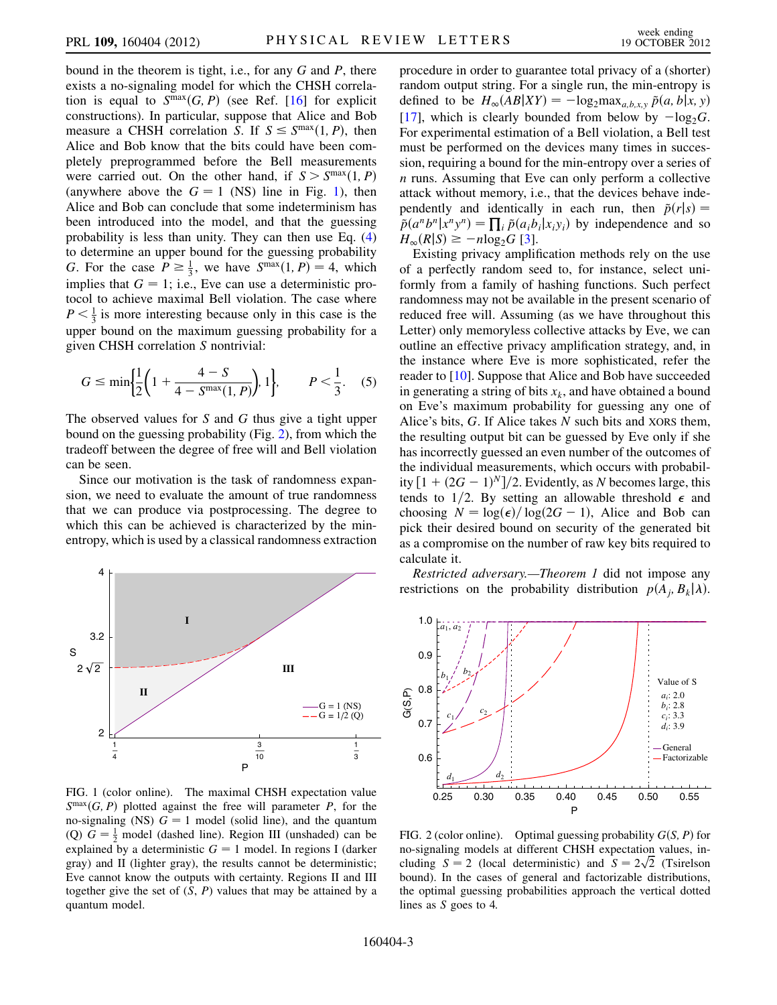bound in the theorem is tight, i.e., for any  $G$  and  $P$ , there exists a no-signaling model for which the CHSH correlation is equal to  $S^{max}(G, P)$  (see Ref. [\[16\]](#page-4-12) for explicit constructions). In particular, suppose that Alice and Bob measure a CHSH correlation S. If  $S \leq S^{\max}(1, P)$ , then Alice and Bob know that the bits could have been completely preprogrammed before the Bell measurements were carried out. On the other hand, if  $S > S<sup>max</sup>(1, P)$ (anywhere above the  $G = 1$  (NS) line in Fig. [1\)](#page-2-0), then Alice and Bob can conclude that some indeterminism has been introduced into the model, and that the guessing probability is less than unity. They can then use Eq. [\(4\)](#page-1-0) to determine an upper bound for the guessing probability G. For the case  $P \ge \frac{1}{3}$ , we have  $S^{max}(1, P) = 4$ , which<br>implies that  $G = 1$ ; i.e. Eve can use a deterministic proimplies that  $G = 1$ ; i.e., Eve can use a deterministic protocol to achieve maximal Bell violation. The case where  $P < \frac{1}{3}$  is more interesting because only in this case is the upper bound on the maximum quessing probability for a upper bound on the maximum guessing probability for a given CHSH correlation S nontrivial:

<span id="page-2-2"></span>
$$
G \le \min\left\{\frac{1}{2}\left(1 + \frac{4 - S}{4 - S^{\max}(1, P)}\right), 1\right\}, \qquad P < \frac{1}{3}.\tag{5}
$$

The observed values for  $S$  and  $G$  thus give a tight upper bound on the guessing probability (Fig. [2\)](#page-2-1), from which the tradeoff between the degree of free will and Bell violation can be seen.

Since our motivation is the task of randomness expansion, we need to evaluate the amount of true randomness that we can produce via postprocessing. The degree to which this can be achieved is characterized by the minentropy, which is used by a classical randomness extraction

<span id="page-2-0"></span>

FIG. 1 (color online). The maximal CHSH expectation value  $S<sup>max</sup>(G, P)$  plotted against the free will parameter P, for the no-signaling (NS)  $G = 1$  model (solid line), and the quantum (Q)  $\bar{G} = \frac{1}{2}$  model (dashed line). Region III (unshaded) can be explained by a deterministic  $G = 1$  model. In regions I (darker explained by a deterministic  $G = 1$  model. In regions I (darker gray) and II (lighter gray), the results cannot be deterministic; Eve cannot know the outputs with certainty. Regions II and III together give the set of  $(S, P)$  values that may be attained by a quantum model.

procedure in order to guarantee total privacy of a (shorter) random output string. For a single run, the min-entropy is defined to be  $H_{\infty}(AB|XY) = -\log_2 \max_{a,b,x,y} \tilde{p}(a, b|x, y)$ [\[17\]](#page-4-13), which is clearly bounded from below by  $-\log_2 G$ . For experimental estimation of a Bell violation, a Bell test must be performed on the devices many times in succession, requiring a bound for the min-entropy over a series of n runs. Assuming that Eve can only perform a collective attack without memory, i.e., that the devices behave independently and identically in each run, then  $\tilde{p}(r|s) =$  $\tilde{p}(a^n b^n | x^n y^n) = \prod_i \tilde{p}(a_i b_i | x_i y_i)$  by independence and so  $H(R|S) \ge -n \log_2 G$  [3]  $H_{\infty}(R|S) \geq -n \log_2 G$  [\[3](#page-4-2)].

Existing privacy amplification methods rely on the use of a perfectly random seed to, for instance, select uniformly from a family of hashing functions. Such perfect randomness may not be available in the present scenario of reduced free will. Assuming (as we have throughout this Letter) only memoryless collective attacks by Eve, we can outline an effective privacy amplification strategy, and, in the instance where Eve is more sophisticated, refer the reader to [[10](#page-4-14)]. Suppose that Alice and Bob have succeeded in generating a string of bits  $x_k$ , and have obtained a bound on Eve's maximum probability for guessing any one of Alice's bits, G. If Alice takes N such bits and XORS them, the resulting output bit can be guessed by Eve only if she has incorrectly guessed an even number of the outcomes of the individual measurements, which occurs with probability  $[1 + (2G - 1)^N]/2$ . Evidently, as N becomes large, this tends to 1/2. By setting an allowable threshold  $\epsilon$  and<br>choosing  $N = \log(\epsilon)/\log(2G - 1)$ . Alice and Bob can choosing  $N = \log(\epsilon)/\log(2G - 1)$ , Alice and Bob can pick their desired bound on security of the generated bit as a compromise on the number of raw key bits required to calculate it.

Restricted adversary.—Theorem 1 did not impose any restrictions on the probability distribution  $p(A_i, B_k|\lambda)$ .

<span id="page-2-1"></span>

FIG. 2 (color online). Optimal guessing probability  $G(S, P)$  for no-signaling models at different CHSH expectation values, including  $S = 2$  (local deterministic) and  $S = 2\sqrt{2}$  (Tsirelson<br>bound). In the cases of general and factorizable distributions bound). In the cases of general and factorizable distributions, the optimal guessing probabilities approach the vertical dotted lines as S goes to 4.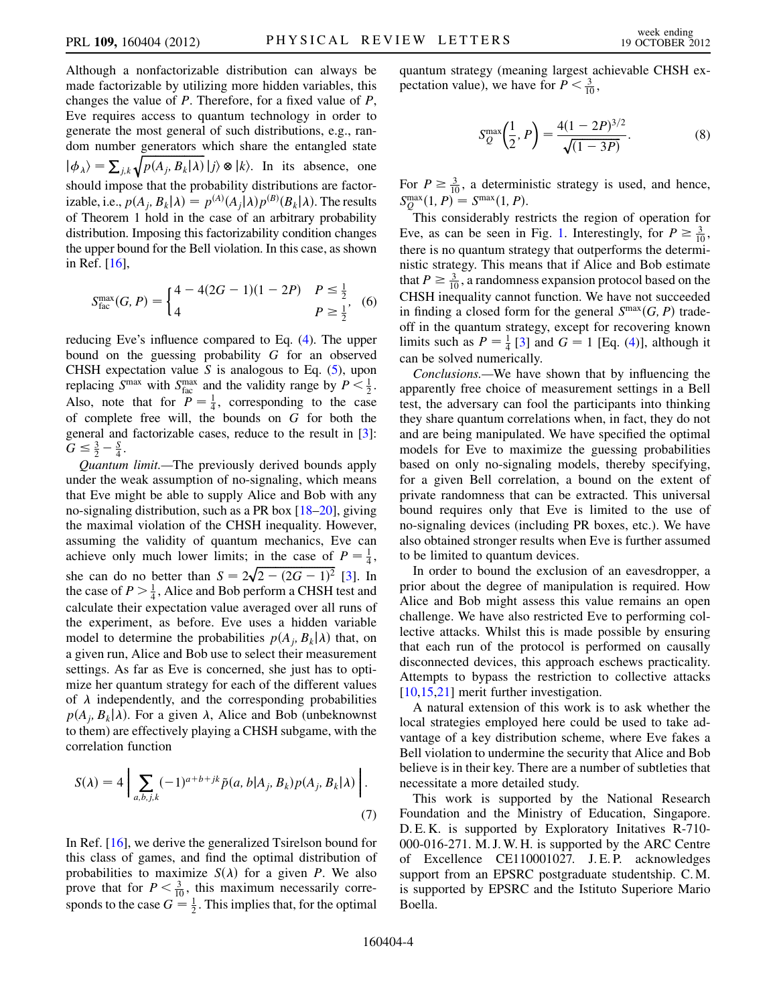Although a nonfactorizable distribution can always be made factorizable by utilizing more hidden variables, this changes the value of P. Therefore, for a fixed value of P, Eve requires access to quantum technology in order to generate the most general of such distributions, e.g., random number generators which share the entangled state  $|\phi_{\lambda}\rangle = \sum_{j,k} \sqrt{p(A_j, B_k|\lambda)} |j\rangle \otimes |k\rangle$ . In its absence, one should impose that the probability distributions are factorizable, i.e.,  $p(A_j, B_k | \lambda) = p^{(A)}(A_j | \lambda) p^{(B)}(B_k | \lambda)$ . The results of Theorem 1 hold in the case of an arbitrary probability of Theorem 1 hold in the case of an arbitrary probability distribution. Imposing this factorizability condition changes the upper bound for the Bell violation. In this case, as shown in Ref. [\[16](#page-4-12)],

$$
S_{\text{fac}}^{\text{max}}(G, P) = \begin{cases} 4 - 4(2G - 1)(1 - 2P) & P \le \frac{1}{2} \\ 4 & P \ge \frac{1}{2} \end{cases}
$$
 (6)

reducing Eve's influence compared to Eq. [\(4\)](#page-1-0). The upper bound on the guessing probability G for an observed CHSH expectation value  $S$  is analogous to Eq.  $(5)$  $(5)$ , upon replacing  $S^{max}$  with  $S^{max}_{fac}$  and the validity range by  $P \leq \frac{1}{2}$ .<br>Also note that for  $P = \frac{1}{2}$  corresponding to the case Also, note that for  $P = \frac{1}{4}$ , corresponding to the case<br>of complete free will the bounds on G for both the of complete free will, the bounds on G for both the general and factorizable cases, reduce to the result in [[3\]](#page-4-2):  $\widetilde{G} \leq \frac{3}{2} - \frac{S}{4}.$ <br>Quantum

Quantum limit.—The previously derived bounds apply under the weak assumption of no-signaling, which means that Eve might be able to supply Alice and Bob with any no-signaling distribution, such as a PR box [[18](#page-4-15)–[20](#page-4-16)], giving the maximal violation of the CHSH inequality. However, assuming the validity of quantum mechanics, Eve can achieve only much lower limits; in the case of  $P = \frac{1}{4}$ , she can do no better than  $S = 2\sqrt{2 - (2G - 1)^2}$  [\[3\]](#page-4-2). In the case of  $P > \frac{1}{2}$  Alice and Bob perform a CHSH test and the case of  $P > \frac{1}{4}$ , Alice and Bob perform a CHSH test and<br>calculate their expectation value averaged over all runs of calculate their expectation value averaged over all runs of the experiment, as before. Eve uses a hidden variable model to determine the probabilities  $p(A_i, B_k|\lambda)$  that, on a given run, Alice and Bob use to select their measurement settings. As far as Eve is concerned, she just has to optimize her quantum strategy for each of the different values of  $\lambda$  independently, and the corresponding probabilities  $p(A_i, B_k|\lambda)$ . For a given  $\lambda$ , Alice and Bob (unbeknownst to them) are effectively playing a CHSH subgame, with the correlation function

$$
S(\lambda) = 4 \left| \sum_{a,b,j,k} (-1)^{a+b+jk} \tilde{p}(a,b|A_j, B_k) p(A_j, B_k | \lambda) \right|.
$$
\n(7)

In Ref. [[16](#page-4-12)], we derive the generalized Tsirelson bound for this class of games, and find the optimal distribution of probabilities to maximize  $S(\lambda)$  for a given P. We also prove that for  $P < \frac{3}{10}$ , this maximum necessarily corre-<br>sponds to the case  $G = \frac{1}{2}$ . This implies that for the optimal sponds to the case  $G = \frac{1}{2}$ . This implies that, for the optimal quantum strategy (meaning largest achievable CHSH expectation value), we have for  $P < \frac{3}{10}$ ,

$$
S_Q^{\max}\left(\frac{1}{2}, P\right) = \frac{4(1 - 2P)^{3/2}}{\sqrt{(1 - 3P)}}.
$$
 (8)

For  $P \ge \frac{3}{10}$ , a deterministic strategy is used, and hence,<br>
smax(1 P) = smax(1 P)  $S_{Q}^{\max}(1, P) = S^{\max}(1, P).$ <br>This considerably res

This considerably restricts the region of operation for Eve, as can be seen in Fig. [1.](#page-2-0) Interestingly, for  $P \ge \frac{3}{10}$ , there is no quantum strategy that outperforms the determithere is no quantum strategy that outperforms the deterministic strategy. This means that if Alice and Bob estimate that  $P \ge \frac{3}{10}$ , a randomness expansion protocol based on the<br>CHSH inequality cannot function. We have not succeeded CHSH inequality cannot function. We have not succeeded in finding a closed form for the general  $S^{max}(G, P)$  tradeoff in the quantum strategy, except for recovering known limits such as  $P = \frac{1}{4}$  [\[3](#page-4-2)] and  $G = 1$  [Eq. ([4\)](#page-1-0)], although it can be solved numerically.

Conclusions.—We have shown that by influencing the apparently free choice of measurement settings in a Bell test, the adversary can fool the participants into thinking they share quantum correlations when, in fact, they do not and are being manipulated. We have specified the optimal models for Eve to maximize the guessing probabilities based on only no-signaling models, thereby specifying, for a given Bell correlation, a bound on the extent of private randomness that can be extracted. This universal bound requires only that Eve is limited to the use of no-signaling devices (including PR boxes, etc.). We have also obtained stronger results when Eve is further assumed to be limited to quantum devices.

In order to bound the exclusion of an eavesdropper, a prior about the degree of manipulation is required. How Alice and Bob might assess this value remains an open challenge. We have also restricted Eve to performing collective attacks. Whilst this is made possible by ensuring that each run of the protocol is performed on causally disconnected devices, this approach eschews practicality. Attempts to bypass the restriction to collective attacks [\[10](#page-4-14)[,15,](#page-4-11)[21](#page-4-17)] merit further investigation.

A natural extension of this work is to ask whether the local strategies employed here could be used to take advantage of a key distribution scheme, where Eve fakes a Bell violation to undermine the security that Alice and Bob believe is in their key. There are a number of subtleties that necessitate a more detailed study.

This work is supported by the National Research Foundation and the Ministry of Education, Singapore. D. E. K. is supported by Exploratory Initatives R-710- 000-016-271. M. J. W. H. is supported by the ARC Centre of Excellence CE110001027. J. E. P. acknowledges support from an EPSRC postgraduate studentship. C. M. is supported by EPSRC and the Istituto Superiore Mario Boella.